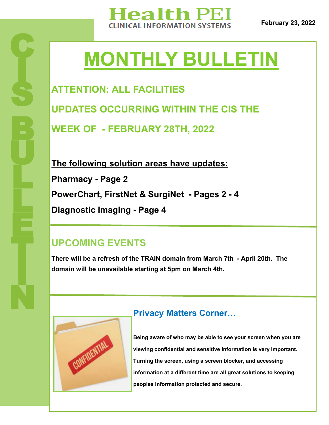

# **MONTHLY BULLETIN**

**ATTENTION: ALL FACILITIES UPDATES OCCURRING WITHIN THE CIS THE WEEK OF - FEBRUARY 28TH, 2022**

**The following solution areas have updates: Pharmacy - Page 2 PowerChart, FirstNet & SurgiNet - Pages 2 - 4 Diagnostic Imaging - Page 4**

## **UPCOMING EVENTS**

**There will be a refresh of the TRAIN domain from March 7th - April 20th. The domain will be unavailable starting at 5pm on March 4th.** 



## **Privacy Matters Corner…**

**Being aware of who may be able to see your screen when you are viewing confidential and sensitive information is very important. Turning the screen, using a screen blocker, and accessing information at a different time are all great solutions to keeping peoples information protected and secure.**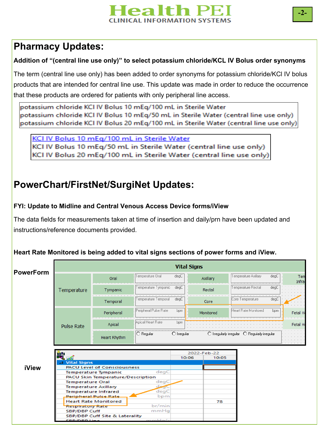## lealth Pl **INICAL INFORMATION SYSTEMS**

## **Pharmacy Updates:**

### **Addition of "(central line use only)" to select potassium chloride/KCL IV Bolus order synonyms**

The term (central line use only) has been added to order synonyms for potassium chloride/KCl IV bolus products that are intended for central line use. This update was made in order to reduce the occurrence that these products are ordered for patients with only peripheral line access.

potassium chloride KCI IV Bolus 10 mEg/100 mL in Sterile Water potassium chloride KCI IV Bolus 10 mEq/50 mL in Sterile Water (central line use only) potassium chloride KCI IV Bolus 20 mEq/100 mL in Sterile Water (central line use only)

KCI IV Bolus 10 mEg/100 mL in Sterile Water KCI IV Bolus 10 mEq/50 mL in Sterile Water (central line use only) KCI IV Bolus 20 mEq/100 mL in Sterile Water (central line use only)

## **PowerChart/FirstNet/SurgiNet Updates:**

### **FYI: Update to Midline and Central Venous Access Device forms/iView**

The data fields for measurements taken at time of insertion and daily/prn have been updated and instructions/reference documents provided.

#### **Heart Rate Monitored is being added to vital signs sections of power forms and iView.**

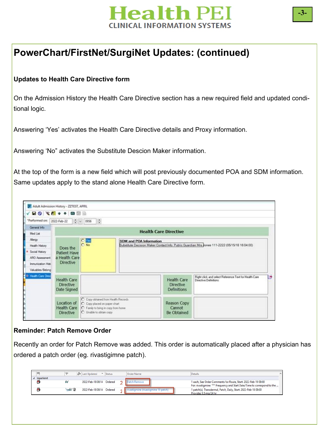

## **PowerChart/FirstNet/SurgiNet Updates: (continued)**

#### **Updates to Health Care Directive form**

On the Admission History the Health Care Directive section has a new required field and updated conditional logic.

Answering 'Yes' activates the Health Care Directive details and Proxy information.

Answering 'No" activates the Substitute Descion Maker information.

At the top of the form is a new field which will post previously documented POA and SDM information. Same updates apply to the stand alone Health Care Directive form.



#### **Reminder: Patch Remove Order**

Recently an order for Patch Remove was added. This order is automatically placed after a physician has ordered a patch order (eg. rivastigimne patch).

| $\Box$                | <b>Y2</b> | So Last Updated<br>$\mathbf{F}$ Status   | Order Name                           | Details                                                                                                                                    |  |
|-----------------------|-----------|------------------------------------------|--------------------------------------|--------------------------------------------------------------------------------------------------------------------------------------------|--|
| $\triangle$ Inpatient |           |                                          |                                      |                                                                                                                                            |  |
| ο                     | 66        | 2022-Feb-18 08:14 Ordered 2 Patch Remove |                                      | 1 each, See Order Comments for Route, Start: 2022-Feb-19 09:00<br>For: rivastigmine *** Frequency and Start Date/Time to correspond to the |  |
| ю                     | ਜ਼6ਰ° ⊌   | 2022-Feb-18 08:14 Ordered                | rivastigmine (rivastigmine 10 patch) | 1 patch(s), Transdermal, Patch, Daily, Start: 2022-Feb-18 09:00<br>Provides 9.5 mg/24 hr                                                   |  |

**-3-**